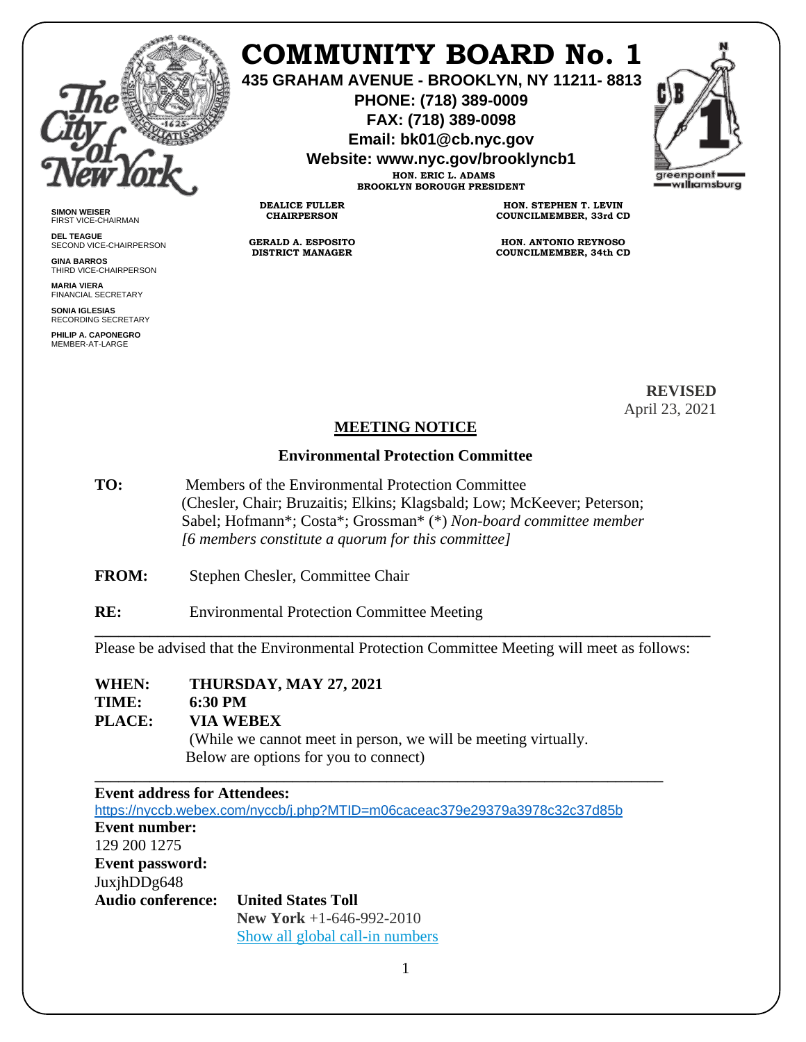

# **COMMUNITY BOARD No. 1**

**435 GRAHAM AVENUE - BROOKLYN, NY 11211- 8813**

**PHONE: (718) 389-0009 FAX: (718) 389-0098**

**Email: bk01@cb.nyc.gov**

**Website: www.nyc.gov/brooklyncb1**

**HON. ERIC L. ADAMS BROOKLYN BOROUGH PRESIDENT**



**SIMON WEISER** FIRST VICE-CHAIRMAN

**DEL TEAGUE** SECOND VICE-CHAIRPERSON

**GINA BARROS** THIRD VICE-CHAIRPERSON

**MARIA VIERA** FINANCIAL SECRETARY

**SONIA IGLESIAS** RECORDING SECRETARY

**PHILIP A. CAPONEGRO** MEMBER-AT-LARGE

**HON. STEPHEN T. LEVIN COUNCILMEMBER, 33rd CD**

**HON. ANTONIO REYNOSO COUNCILMEMBER, 34th CD**

> **REVISED** April 23, 2021

#### **MEETING NOTICE**

#### **Environmental Protection Committee**

- **TO:** Members of the Environmental Protection Committee (Chesler, Chair; Bruzaitis; Elkins; Klagsbald; Low; McKeever; Peterson; Sabel; Hofmann\*; Costa\*; Grossman\* (\*) *Non-board committee member [6 members constitute a quorum for this committee]*
- **FROM:** Stephen Chesler, Committee Chair

**RE:** Environmental Protection Committee Meeting

**DEALICE FULLER CHAIRPERSON**

**GERALD A. ESPOSITO DISTRICT MANAGER**

Please be advised that the Environmental Protection Committee Meeting will meet as follows:

**\_\_\_\_\_\_\_\_\_\_\_\_\_\_\_\_\_\_\_\_\_\_\_\_\_\_\_\_\_\_\_\_\_\_\_\_\_\_\_\_\_\_\_\_\_\_\_\_\_\_\_\_\_\_\_\_\_\_\_\_\_\_\_\_\_\_\_\_\_\_\_\_\_\_\_\_\_\_**

# **WHEN: THURSDAY, MAY 27, 2021**

# **TIME: 6:30 PM**

**PLACE: VIA WEBEX**  (While we cannot meet in person, we will be meeting virtually. Below are options for you to connect)

**\_\_\_\_\_\_\_\_\_\_\_\_\_\_\_\_\_\_\_\_\_\_\_\_\_\_\_\_\_\_\_\_\_\_\_\_\_\_\_\_\_\_\_\_\_\_\_\_\_\_\_\_\_\_\_\_\_\_\_\_\_\_\_\_\_\_\_\_\_\_\_\_**

#### **Event address for Attendees:**

<https://nyccb.webex.com/nyccb/j.php?MTID=m06caceac379e29379a3978c32c37d85b> **Event number:**  129 200 1275 **Event password:** JuxjhDDg648 **Audio conference: United States Toll New York** +1-646-992-2010 [Show all global call-in numbers](https://nyccb.webex.com/cmp3300/webcomponents/widget/globalcallin/globalcallin.do?siteurl=nyccb&serviceType=EC&eventID=996974567&tollFree=0)